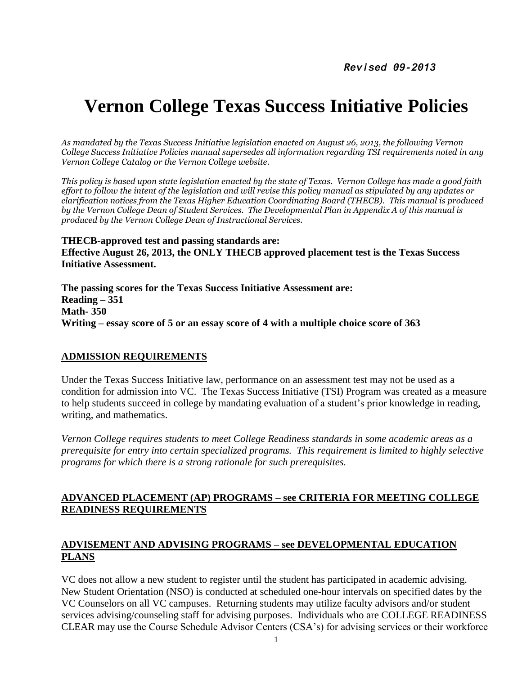# **Vernon College Texas Success Initiative Policies**

*As mandated by the Texas Success Initiative legislation enacted on August 26, 2013, the following Vernon College Success Initiative Policies manual supersedes all information regarding TSI requirements noted in any Vernon College Catalog or the Vernon College website.* 

*This policy is based upon state legislation enacted by the state of Texas. Vernon College has made a good faith effort to follow the intent of the legislation and will revise this policy manual as stipulated by any updates or clarification notices from the Texas Higher Education Coordinating Board (THECB). This manual is produced by the Vernon College Dean of Student Services. The Developmental Plan in Appendix A of this manual is produced by the Vernon College Dean of Instructional Services.*

**THECB-approved test and passing standards are: Effective August 26, 2013, the ONLY THECB approved placement test is the Texas Success Initiative Assessment.**

**The passing scores for the Texas Success Initiative Assessment are: Reading – 351 Math- 350 Writing – essay score of 5 or an essay score of 4 with a multiple choice score of 363**

#### **ADMISSION REQUIREMENTS**

Under the Texas Success Initiative law, performance on an assessment test may not be used as a condition for admission into VC. The Texas Success Initiative (TSI) Program was created as a measure to help students succeed in college by mandating evaluation of a student's prior knowledge in reading, writing, and mathematics.

*Vernon College requires students to meet College Readiness standards in some academic areas as a prerequisite for entry into certain specialized programs. This requirement is limited to highly selective programs for which there is a strong rationale for such prerequisites.*

### **ADVANCED PLACEMENT (AP) PROGRAMS – see CRITERIA FOR MEETING COLLEGE READINESS REQUIREMENTS**

### **ADVISEMENT AND ADVISING PROGRAMS – see DEVELOPMENTAL EDUCATION PLANS**

VC does not allow a new student to register until the student has participated in academic advising. New Student Orientation (NSO) is conducted at scheduled one-hour intervals on specified dates by the VC Counselors on all VC campuses. Returning students may utilize faculty advisors and/or student services advising/counseling staff for advising purposes. Individuals who are COLLEGE READINESS CLEAR may use the Course Schedule Advisor Centers (CSA's) for advising services or their workforce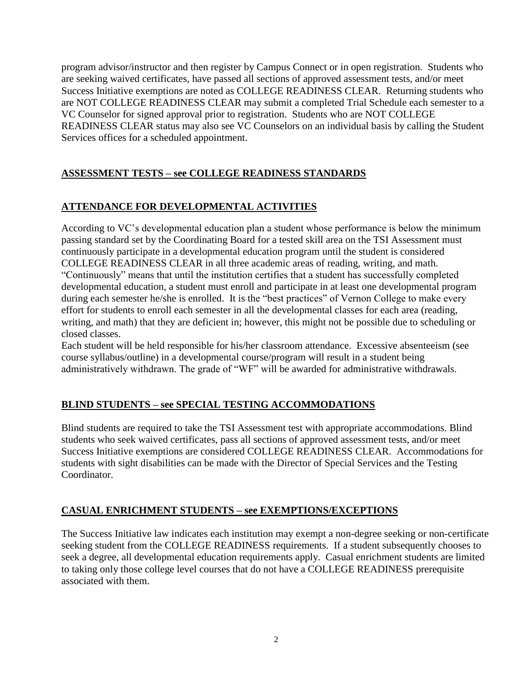program advisor/instructor and then register by Campus Connect or in open registration. Students who are seeking waived certificates, have passed all sections of approved assessment tests, and/or meet Success Initiative exemptions are noted as COLLEGE READINESS CLEAR. Returning students who are NOT COLLEGE READINESS CLEAR may submit a completed Trial Schedule each semester to a VC Counselor for signed approval prior to registration. Students who are NOT COLLEGE READINESS CLEAR status may also see VC Counselors on an individual basis by calling the Student Services offices for a scheduled appointment.

# **ASSESSMENT TESTS – see COLLEGE READINESS STANDARDS**

# **ATTENDANCE FOR DEVELOPMENTAL ACTIVITIES**

According to VC's developmental education plan a student whose performance is below the minimum passing standard set by the Coordinating Board for a tested skill area on the TSI Assessment must continuously participate in a developmental education program until the student is considered COLLEGE READINESS CLEAR in all three academic areas of reading, writing, and math. "Continuously" means that until the institution certifies that a student has successfully completed developmental education, a student must enroll and participate in at least one developmental program during each semester he/she is enrolled. It is the "best practices" of Vernon College to make every effort for students to enroll each semester in all the developmental classes for each area (reading, writing, and math) that they are deficient in; however, this might not be possible due to scheduling or closed classes.

Each student will be held responsible for his/her classroom attendance. Excessive absenteeism (see course syllabus/outline) in a developmental course/program will result in a student being administratively withdrawn. The grade of "WF" will be awarded for administrative withdrawals.

# **BLIND STUDENTS – see SPECIAL TESTING ACCOMMODATIONS**

Blind students are required to take the TSI Assessment test with appropriate accommodations. Blind students who seek waived certificates, pass all sections of approved assessment tests, and/or meet Success Initiative exemptions are considered COLLEGE READINESS CLEAR. Accommodations for students with sight disabilities can be made with the Director of Special Services and the Testing Coordinator.

# **CASUAL ENRICHMENT STUDENTS – see EXEMPTIONS/EXCEPTIONS**

The Success Initiative law indicates each institution may exempt a non-degree seeking or non-certificate seeking student from the COLLEGE READINESS requirements. If a student subsequently chooses to seek a degree, all developmental education requirements apply. Casual enrichment students are limited to taking only those college level courses that do not have a COLLEGE READINESS prerequisite associated with them.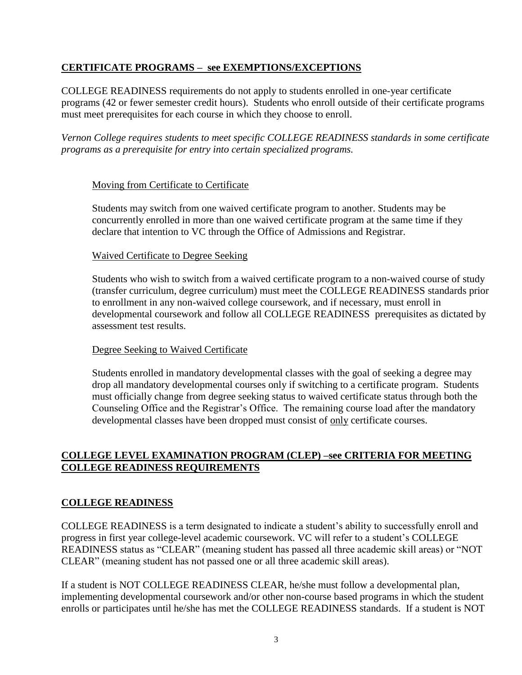### **CERTIFICATE PROGRAMS – see EXEMPTIONS/EXCEPTIONS**

COLLEGE READINESS requirements do not apply to students enrolled in one-year certificate programs (42 or fewer semester credit hours). Students who enroll outside of their certificate programs must meet prerequisites for each course in which they choose to enroll.

*Vernon College requires students to meet specific COLLEGE READINESS standards in some certificate programs as a prerequisite for entry into certain specialized programs.* 

### Moving from Certificate to Certificate

Students may switch from one waived certificate program to another. Students may be concurrently enrolled in more than one waived certificate program at the same time if they declare that intention to VC through the Office of Admissions and Registrar.

### Waived Certificate to Degree Seeking

Students who wish to switch from a waived certificate program to a non-waived course of study (transfer curriculum, degree curriculum) must meet the COLLEGE READINESS standards prior to enrollment in any non-waived college coursework, and if necessary, must enroll in developmental coursework and follow all COLLEGE READINESS prerequisites as dictated by assessment test results.

### Degree Seeking to Waived Certificate

Students enrolled in mandatory developmental classes with the goal of seeking a degree may drop all mandatory developmental courses only if switching to a certificate program. Students must officially change from degree seeking status to waived certificate status through both the Counseling Office and the Registrar's Office. The remaining course load after the mandatory developmental classes have been dropped must consist of only certificate courses.

### **COLLEGE LEVEL EXAMINATION PROGRAM (CLEP) –see CRITERIA FOR MEETING COLLEGE READINESS REQUIREMENTS**

### **COLLEGE READINESS**

COLLEGE READINESS is a term designated to indicate a student's ability to successfully enroll and progress in first year college-level academic coursework. VC will refer to a student's COLLEGE READINESS status as "CLEAR" (meaning student has passed all three academic skill areas) or "NOT CLEAR" (meaning student has not passed one or all three academic skill areas).

If a student is NOT COLLEGE READINESS CLEAR, he/she must follow a developmental plan, implementing developmental coursework and/or other non-course based programs in which the student enrolls or participates until he/she has met the COLLEGE READINESS standards. If a student is NOT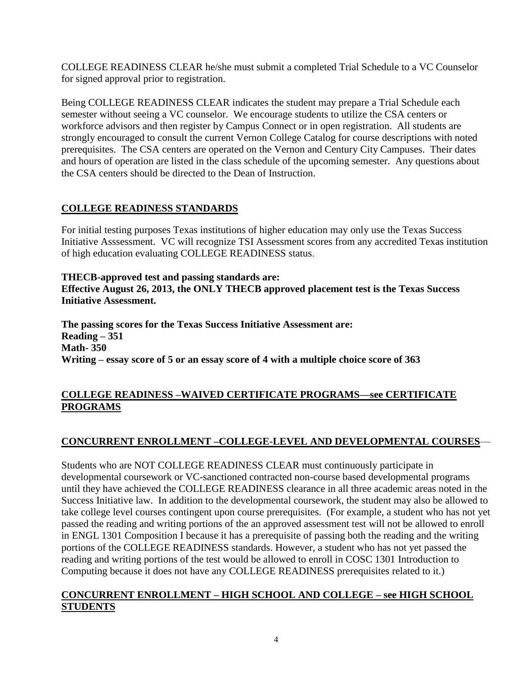COLLEGE READINESS CLEAR he/she must submit a completed Trial Schedule to a VC Counselor for signed approval prior to registration.

Being COLLEGE READINESS CLEAR indicates the student may prepare a Trial Schedule each semester without seeing a VC counselor. We encourage students to utilize the CSA centers or workforce advisors and then register by Campus Connect or in open registration. All students are strongly encouraged to consult the current Vernon College Catalog for course descriptions with noted prerequisites. The CSA centers are operated on the Vernon and Century City Campuses. Their dates and hours of operation are listed in the class schedule of the upcoming semester. Any questions about the CSA centers should be directed to the Dean of Instruction.

# **COLLEGE READINESS STANDARDS**

For initial testing purposes Texas institutions of higher education may only use the Texas Success Initiative Asssessment. VC will recognize TSI Assessment scores from any accredited Texas institution of high education evaluating COLLEGE READINESS status.

**THECB-approved test and passing standards are: Effective August 26, 2013, the ONLY THECB approved placement test is the Texas Success Initiative Assessment.**

**The passing scores for the Texas Success Initiative Assessment are: Reading – 351 Math- 350 Writing – essay score of 5 or an essay score of 4 with a multiple choice score of 363**

### **COLLEGE READINESS –WAIVED CERTIFICATE PROGRAMS—see CERTIFICATE PROGRAMS**

# **CONCURRENT ENROLLMENT –COLLEGE-LEVEL AND DEVELOPMENTAL COURSES**—

Students who are NOT COLLEGE READINESS CLEAR must continuously participate in developmental coursework or VC-sanctioned contracted non-course based developmental programs until they have achieved the COLLEGE READINESS clearance in all three academic areas noted in the Success Initiative law. In addition to the developmental coursework, the student may also be allowed to take college level courses contingent upon course prerequisites. (For example, a student who has not yet passed the reading and writing portions of the an approved assessment test will not be allowed to enroll in ENGL 1301 Composition I because it has a prerequisite of passing both the reading and the writing portions of the COLLEGE READINESS standards. However, a student who has not yet passed the reading and writing portions of the test would be allowed to enroll in COSC 1301 Introduction to Computing because it does not have any COLLEGE READINESS prerequisites related to it.)

### **CONCURRENT ENROLLMENT – HIGH SCHOOL AND COLLEGE – see HIGH SCHOOL STUDENTS**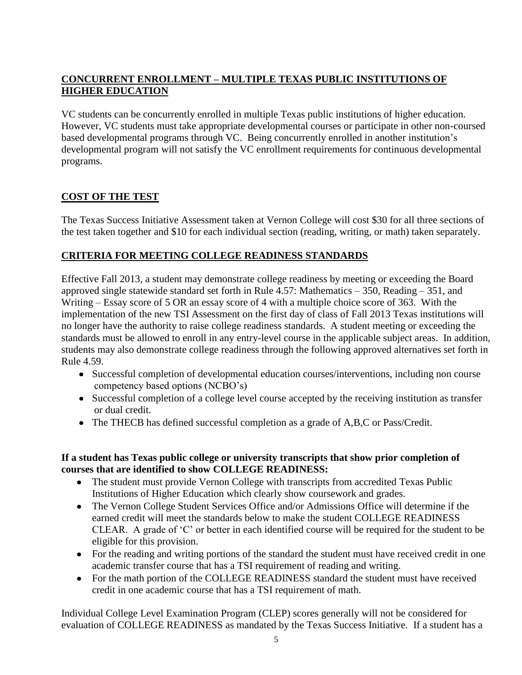# **CONCURRENT ENROLLMENT – MULTIPLE TEXAS PUBLIC INSTITUTIONS OF HIGHER EDUCATION**

VC students can be concurrently enrolled in multiple Texas public institutions of higher education. However, VC students must take appropriate developmental courses or participate in other non-coursed based developmental programs through VC. Being concurrently enrolled in another institution's developmental program will not satisfy the VC enrollment requirements for continuous developmental programs.

# **COST OF THE TEST**

The Texas Success Initiative Assessment taken at Vernon College will cost \$30 for all three sections of the test taken together and \$10 for each individual section (reading, writing, or math) taken separately.

# **CRITERIA FOR MEETING COLLEGE READINESS STANDARDS**

Effective Fall 2013, a student may demonstrate college readiness by meeting or exceeding the Board approved single statewide standard set forth in Rule 4.57: Mathematics – 350, Reading – 351, and Writing – Essay score of 5 OR an essay score of 4 with a multiple choice score of 363. With the implementation of the new TSI Assessment on the first day of class of Fall 2013 Texas institutions will no longer have the authority to raise college readiness standards. A student meeting or exceeding the standards must be allowed to enroll in any entry-level course in the applicable subject areas. In addition, students may also demonstrate college readiness through the following approved alternatives set forth in Rule 4.59.

- Successful completion of developmental education courses/interventions, including non course competency based options (NCBO's)
- Successful completion of a college level course accepted by the receiving institution as transfer or dual credit.
- The THECB has defined successful completion as a grade of A,B,C or Pass/Credit.

### **If a student has Texas public college or university transcripts that show prior completion of courses that are identified to show COLLEGE READINESS:**

- The student must provide Vernon College with transcripts from accredited Texas Public Institutions of Higher Education which clearly show coursework and grades.
- The Vernon College Student Services Office and/or Admissions Office will determine if the earned credit will meet the standards below to make the student COLLEGE READINESS CLEAR. A grade of 'C' or better in each identified course will be required for the student to be eligible for this provision.
- For the reading and writing portions of the standard the student must have received credit in one academic transfer course that has a TSI requirement of reading and writing.
- For the math portion of the COLLEGE READINESS standard the student must have received credit in one academic course that has a TSI requirement of math.

Individual College Level Examination Program (CLEP) scores generally will not be considered for evaluation of COLLEGE READINESS as mandated by the Texas Success Initiative. If a student has a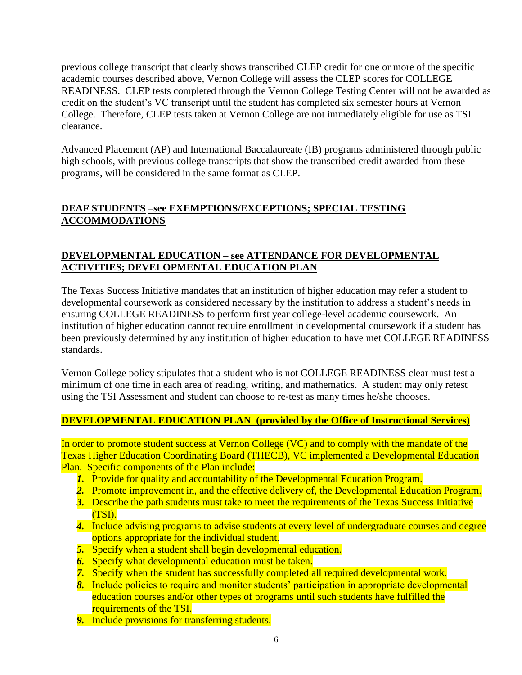previous college transcript that clearly shows transcribed CLEP credit for one or more of the specific academic courses described above, Vernon College will assess the CLEP scores for COLLEGE READINESS. CLEP tests completed through the Vernon College Testing Center will not be awarded as credit on the student's VC transcript until the student has completed six semester hours at Vernon College. Therefore, CLEP tests taken at Vernon College are not immediately eligible for use as TSI clearance.

Advanced Placement (AP) and International Baccalaureate (IB) programs administered through public high schools, with previous college transcripts that show the transcribed credit awarded from these programs, will be considered in the same format as CLEP.

### **DEAF STUDENTS –see EXEMPTIONS/EXCEPTIONS; SPECIAL TESTING ACCOMMODATIONS**

### **DEVELOPMENTAL EDUCATION – see ATTENDANCE FOR DEVELOPMENTAL ACTIVITIES; DEVELOPMENTAL EDUCATION PLAN**

The Texas Success Initiative mandates that an institution of higher education may refer a student to developmental coursework as considered necessary by the institution to address a student's needs in ensuring COLLEGE READINESS to perform first year college-level academic coursework. An institution of higher education cannot require enrollment in developmental coursework if a student has been previously determined by any institution of higher education to have met COLLEGE READINESS standards.

Vernon College policy stipulates that a student who is not COLLEGE READINESS clear must test a minimum of one time in each area of reading, writing, and mathematics. A student may only retest using the TSI Assessment and student can choose to re-test as many times he/she chooses.

### **DEVELOPMENTAL EDUCATION PLAN (provided by the Office of Instructional Services)**

In order to promote student success at Vernon College (VC) and to comply with the mandate of the Texas Higher Education Coordinating Board (THECB), VC implemented a Developmental Education Plan. Specific components of the Plan include:

- *1.* Provide for quality and accountability of the Developmental Education Program.
- *2.* Promote improvement in, and the effective delivery of, the Developmental Education Program.
- *3.* Describe the path students must take to meet the requirements of the Texas Success Initiative (TSI).
- *4.* Include advising programs to advise students at every level of undergraduate courses and degree options appropriate for the individual student.
- *5.* Specify when a student shall begin developmental education.
- *6.* Specify what developmental education must be taken.
- *7.* Specify when the student has successfully completed all required developmental work.
- *8.* Include policies to require and monitor students' participation in appropriate developmental education courses and/or other types of programs until such students have fulfilled the requirements of the TSI.
- *9.* Include provisions for transferring students.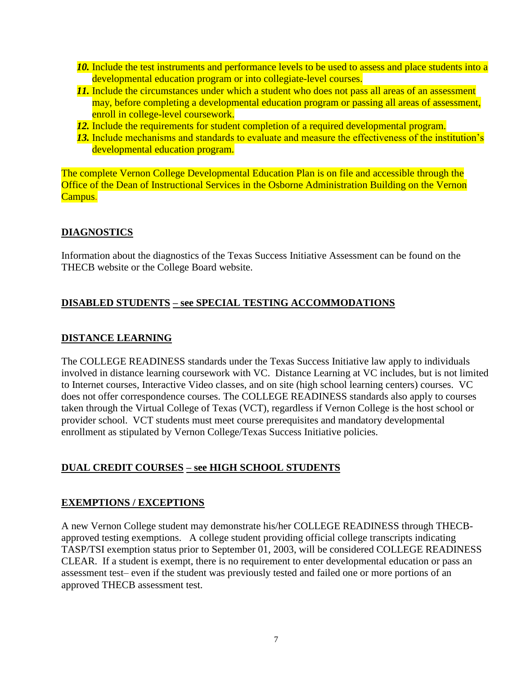- *10.* Include the test instruments and performance levels to be used to assess and place students into a developmental education program or into collegiate-level courses.
- **11.** Include the circumstances under which a student who does not pass all areas of an assessment may, before completing a developmental education program or passing all areas of assessment, enroll in college-level coursework.
- *12.* Include the requirements for student completion of a required developmental program.
- *13.* Include mechanisms and standards to evaluate and measure the effectiveness of the institution's developmental education program.

The complete Vernon College Developmental Education Plan is on file and accessible through the Office of the Dean of Instructional Services in the Osborne Administration Building on the Vernon Campus.

### **DIAGNOSTICS**

Information about the diagnostics of the Texas Success Initiative Assessment can be found on the THECB website or the College Board website.

### **DISABLED STUDENTS – see SPECIAL TESTING ACCOMMODATIONS**

### **DISTANCE LEARNING**

The COLLEGE READINESS standards under the Texas Success Initiative law apply to individuals involved in distance learning coursework with VC. Distance Learning at VC includes, but is not limited to Internet courses, Interactive Video classes, and on site (high school learning centers) courses. VC does not offer correspondence courses. The COLLEGE READINESS standards also apply to courses taken through the Virtual College of Texas (VCT), regardless if Vernon College is the host school or provider school. VCT students must meet course prerequisites and mandatory developmental enrollment as stipulated by Vernon College/Texas Success Initiative policies.

# **DUAL CREDIT COURSES – see HIGH SCHOOL STUDENTS**

#### **EXEMPTIONS / EXCEPTIONS**

A new Vernon College student may demonstrate his/her COLLEGE READINESS through THECBapproved testing exemptions. A college student providing official college transcripts indicating TASP/TSI exemption status prior to September 01, 2003, will be considered COLLEGE READINESS CLEAR. If a student is exempt, there is no requirement to enter developmental education or pass an assessment test– even if the student was previously tested and failed one or more portions of an approved THECB assessment test.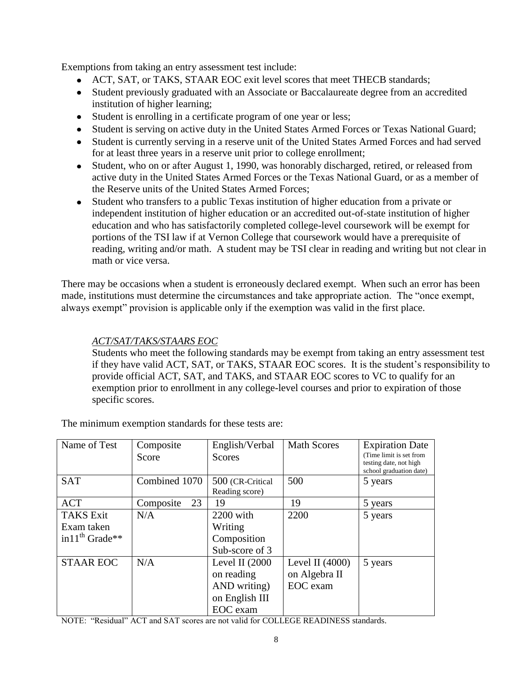Exemptions from taking an entry assessment test include:

- ACT, SAT, or TAKS, STAAR EOC exit level scores that meet THECB standards;
- Student previously graduated with an Associate or Baccalaureate degree from an accredited institution of higher learning;
- Student is enrolling in a certificate program of one year or less;
- Student is serving on active duty in the United States Armed Forces or Texas National Guard;
- Student is currently serving in a reserve unit of the United States Armed Forces and had served for at least three years in a reserve unit prior to college enrollment;
- Student, who on or after August 1, 1990, was honorably discharged, retired, or released from active duty in the United States Armed Forces or the Texas National Guard, or as a member of the Reserve units of the United States Armed Forces;
- Student who transfers to a public Texas institution of higher education from a private or independent institution of higher education or an accredited out-of-state institution of higher education and who has satisfactorily completed college-level coursework will be exempt for portions of the TSI law if at Vernon College that coursework would have a prerequisite of reading, writing and/or math. A student may be TSI clear in reading and writing but not clear in math or vice versa.

There may be occasions when a student is erroneously declared exempt. When such an error has been made, institutions must determine the circumstances and take appropriate action. The "once exempt, always exempt" provision is applicable only if the exemption was valid in the first place.

### *ACT/SAT/TAKS/STAARS EOC*

Students who meet the following standards may be exempt from taking an entry assessment test if they have valid ACT, SAT, or TAKS, STAAR EOC scores. It is the student's responsibility to provide official ACT, SAT, and TAKS, and STAAR EOC scores to VC to qualify for an exemption prior to enrollment in any college-level courses and prior to expiration of those specific scores.

| Name of Test         | Composite<br>Score | English/Verbal<br>Scores | <b>Math Scores</b> | <b>Expiration Date</b><br>(Time limit is set from<br>testing date, not high |
|----------------------|--------------------|--------------------------|--------------------|-----------------------------------------------------------------------------|
|                      |                    |                          |                    | school graduation date)                                                     |
| <b>SAT</b>           | Combined 1070      | 500 (CR-Critical         | 500                | 5 years                                                                     |
|                      |                    | Reading score)           |                    |                                                                             |
| <b>ACT</b>           | 23<br>Composite    | 19                       | 19                 | 5 years                                                                     |
| <b>TAKS Exit</b>     | N/A                | 2200 with                | 2200               | 5 years                                                                     |
| Exam taken           |                    | Writing                  |                    |                                                                             |
| in $11^{th}$ Grade** |                    | Composition              |                    |                                                                             |
|                      |                    | Sub-score of 3           |                    |                                                                             |
| <b>STAAR EOC</b>     | N/A                | Level II $(2000)$        | Level II $(4000)$  | 5 years                                                                     |
|                      |                    | on reading               | on Algebra II      |                                                                             |
|                      |                    | AND writing)             | EOC exam           |                                                                             |
|                      |                    | on English III           |                    |                                                                             |
|                      |                    | EOC exam                 |                    |                                                                             |

The minimum exemption standards for these tests are:

NOTE: "Residual" ACT and SAT scores are not valid for COLLEGE READINESS standards.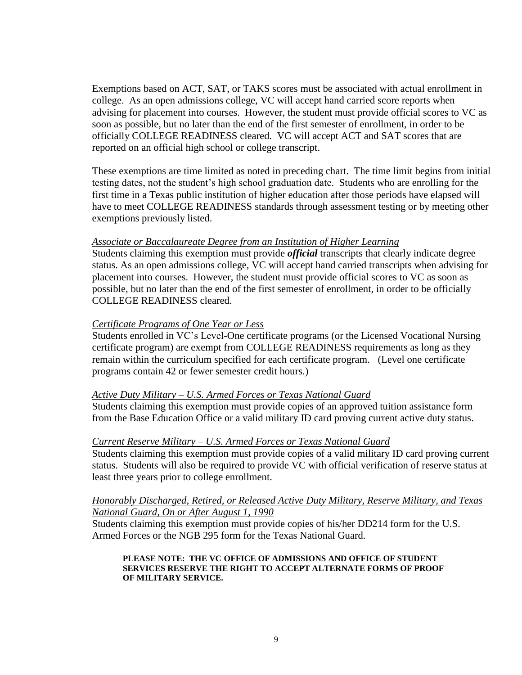Exemptions based on ACT, SAT, or TAKS scores must be associated with actual enrollment in college. As an open admissions college, VC will accept hand carried score reports when advising for placement into courses. However, the student must provide official scores to VC as soon as possible, but no later than the end of the first semester of enrollment, in order to be officially COLLEGE READINESS cleared. VC will accept ACT and SAT scores that are reported on an official high school or college transcript.

These exemptions are time limited as noted in preceding chart. The time limit begins from initial testing dates, not the student's high school graduation date. Students who are enrolling for the first time in a Texas public institution of higher education after those periods have elapsed will have to meet COLLEGE READINESS standards through assessment testing or by meeting other exemptions previously listed.

#### *Associate or Baccalaureate Degree from an Institution of Higher Learning*

Students claiming this exemption must provide *official* transcripts that clearly indicate degree status. As an open admissions college, VC will accept hand carried transcripts when advising for placement into courses. However, the student must provide official scores to VC as soon as possible, but no later than the end of the first semester of enrollment, in order to be officially COLLEGE READINESS cleared.

#### *Certificate Programs of One Year or Less*

Students enrolled in VC's Level-One certificate programs (or the Licensed Vocational Nursing certificate program) are exempt from COLLEGE READINESS requirements as long as they remain within the curriculum specified for each certificate program. (Level one certificate programs contain 42 or fewer semester credit hours.)

#### *Active Duty Military – U.S. Armed Forces or Texas National Guard*

Students claiming this exemption must provide copies of an approved tuition assistance form from the Base Education Office or a valid military ID card proving current active duty status.

#### *Current Reserve Military – U.S. Armed Forces or Texas National Guard*

Students claiming this exemption must provide copies of a valid military ID card proving current status. Students will also be required to provide VC with official verification of reserve status at least three years prior to college enrollment.

#### *Honorably Discharged, Retired, or Released Active Duty Military, Reserve Military, and Texas National Guard, On or After August 1, 1990*

Students claiming this exemption must provide copies of his/her DD214 form for the U.S. Armed Forces or the NGB 295 form for the Texas National Guard.

#### **PLEASE NOTE: THE VC OFFICE OF ADMISSIONS AND OFFICE OF STUDENT SERVICES RESERVE THE RIGHT TO ACCEPT ALTERNATE FORMS OF PROOF OF MILITARY SERVICE.**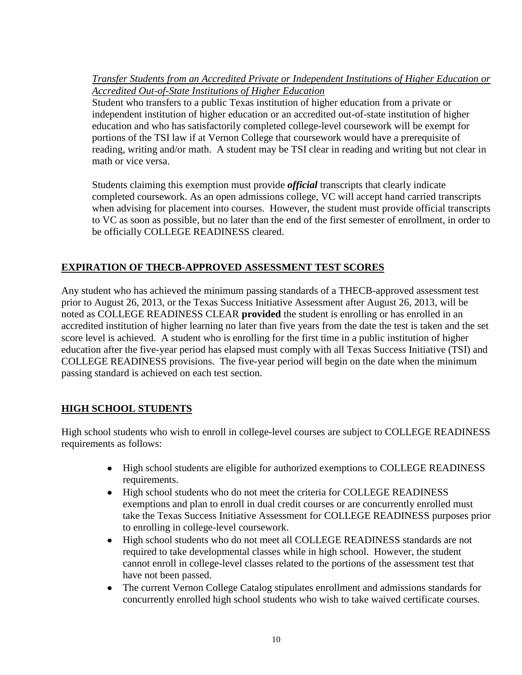*Transfer Students from an Accredited Private or Independent Institutions of Higher Education or Accredited Out-of-State Institutions of Higher Education*

Student who transfers to a public Texas institution of higher education from a private or independent institution of higher education or an accredited out-of-state institution of higher education and who has satisfactorily completed college-level coursework will be exempt for portions of the TSI law if at Vernon College that coursework would have a prerequisite of reading, writing and/or math. A student may be TSI clear in reading and writing but not clear in math or vice versa.

Students claiming this exemption must provide *official* transcripts that clearly indicate completed coursework. As an open admissions college, VC will accept hand carried transcripts when advising for placement into courses. However, the student must provide official transcripts to VC as soon as possible, but no later than the end of the first semester of enrollment, in order to be officially COLLEGE READINESS cleared.

# **EXPIRATION OF THECB-APPROVED ASSESSMENT TEST SCORES**

Any student who has achieved the minimum passing standards of a THECB-approved assessment test prior to August 26, 2013, or the Texas Success Initiative Assessment after August 26, 2013, will be noted as COLLEGE READINESS CLEAR **provided** the student is enrolling or has enrolled in an accredited institution of higher learning no later than five years from the date the test is taken and the set score level is achieved. A student who is enrolling for the first time in a public institution of higher education after the five-year period has elapsed must comply with all Texas Success Initiative (TSI) and COLLEGE READINESS provisions. The five-year period will begin on the date when the minimum passing standard is achieved on each test section.

# **HIGH SCHOOL STUDENTS**

High school students who wish to enroll in college-level courses are subject to COLLEGE READINESS requirements as follows:

- High school students are eligible for authorized exemptions to COLLEGE READINESS requirements.
- High school students who do not meet the criteria for COLLEGE READINESS exemptions and plan to enroll in dual credit courses or are concurrently enrolled must take the Texas Success Initiative Assessment for COLLEGE READINESS purposes prior to enrolling in college-level coursework.
- $\bullet$ High school students who do not meet all COLLEGE READINESS standards are not required to take developmental classes while in high school. However, the student cannot enroll in college-level classes related to the portions of the assessment test that have not been passed.
- The current Vernon College Catalog stipulates enrollment and admissions standards for  $\bullet$ concurrently enrolled high school students who wish to take waived certificate courses.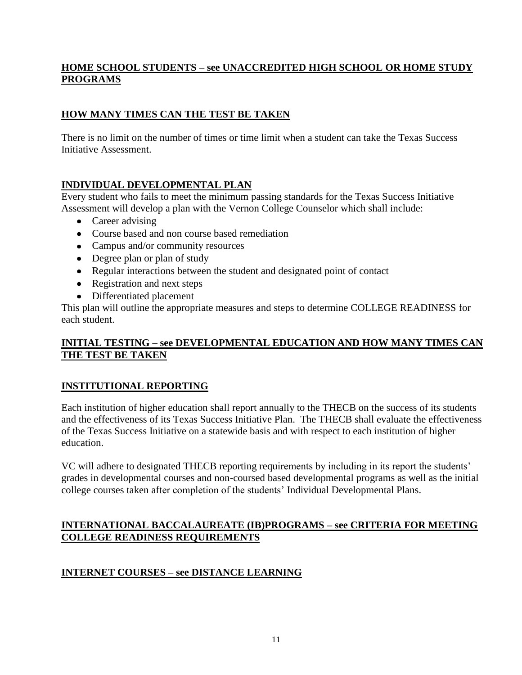### **HOME SCHOOL STUDENTS – see UNACCREDITED HIGH SCHOOL OR HOME STUDY PROGRAMS**

# **HOW MANY TIMES CAN THE TEST BE TAKEN**

There is no limit on the number of times or time limit when a student can take the Texas Success Initiative Assessment.

# **INDIVIDUAL DEVELOPMENTAL PLAN**

Every student who fails to meet the minimum passing standards for the Texas Success Initiative Assessment will develop a plan with the Vernon College Counselor which shall include:

- Career advising
- Course based and non course based remediation
- Campus and/or community resources
- Degree plan or plan of study
- Regular interactions between the student and designated point of contact
- Registration and next steps
- Differentiated placement

This plan will outline the appropriate measures and steps to determine COLLEGE READINESS for each student.

### **INITIAL TESTING – see DEVELOPMENTAL EDUCATION AND HOW MANY TIMES CAN THE TEST BE TAKEN**

# **INSTITUTIONAL REPORTING**

Each institution of higher education shall report annually to the THECB on the success of its students and the effectiveness of its Texas Success Initiative Plan. The THECB shall evaluate the effectiveness of the Texas Success Initiative on a statewide basis and with respect to each institution of higher education.

VC will adhere to designated THECB reporting requirements by including in its report the students' grades in developmental courses and non-coursed based developmental programs as well as the initial college courses taken after completion of the students' Individual Developmental Plans.

### **INTERNATIONAL BACCALAUREATE (IB)PROGRAMS – see CRITERIA FOR MEETING COLLEGE READINESS REQUIREMENTS**

# **INTERNET COURSES – see DISTANCE LEARNING**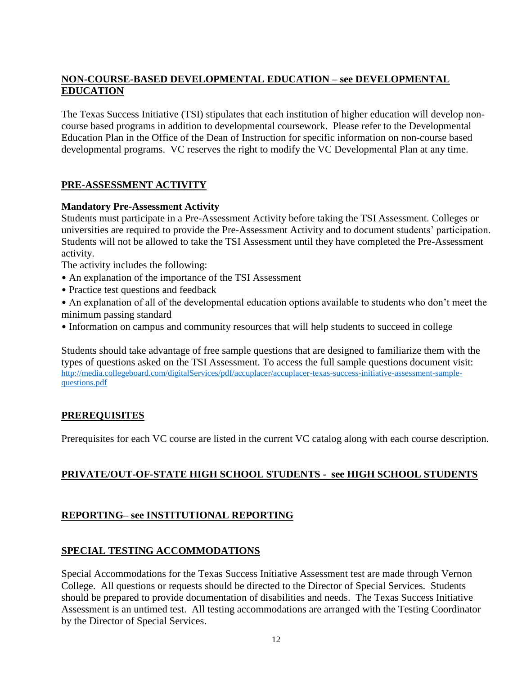# **NON-COURSE-BASED DEVELOPMENTAL EDUCATION – see DEVELOPMENTAL EDUCATION**

The Texas Success Initiative (TSI) stipulates that each institution of higher education will develop noncourse based programs in addition to developmental coursework. Please refer to the Developmental Education Plan in the Office of the Dean of Instruction for specific information on non-course based developmental programs. VC reserves the right to modify the VC Developmental Plan at any time.

# **PRE-ASSESSMENT ACTIVITY**

### **Mandatory Pre-Assessm**e**nt Activity**

Students must participate in a Pre-Assessment Activity before taking the TSI Assessment. Colleges or universities are required to provide the Pre-Assessment Activity and to document students' participation. Students will not be allowed to take the TSI Assessment until they have completed the Pre-Assessment activity.

The activity includes the following:

- An explanation of the importance of the TSI Assessment
- Practice test questions and feedback
- An explanation of all of the developmental education options available to students who don't meet the minimum passing standard
- Information on campus and community resources that will help students to succeed in college

Students should take advantage of free sample questions that are designed to familiarize them with the types of questions asked on the TSI Assessment. To access the full sample questions document visit: [http://media.collegeboard.com/digitalServices/pdf/accuplacer/accuplacer-texas-success-initiative-assessment-sample](http://media.collegeboard.com/digitalServices/pdf/accuplacer/accuplacer-texas-success-initiative-assessment-sample-questions.pdf)[questions.pdf](http://media.collegeboard.com/digitalServices/pdf/accuplacer/accuplacer-texas-success-initiative-assessment-sample-questions.pdf)

# **PREREQUISITES**

Prerequisites for each VC course are listed in the current VC catalog along with each course description.

# **PRIVATE/OUT-OF-STATE HIGH SCHOOL STUDENTS - see HIGH SCHOOL STUDENTS**

# **REPORTING– see INSTITUTIONAL REPORTING**

# **SPECIAL TESTING ACCOMMODATIONS**

Special Accommodations for the Texas Success Initiative Assessment test are made through Vernon College. All questions or requests should be directed to the Director of Special Services. Students should be prepared to provide documentation of disabilities and needs. The Texas Success Initiative Assessment is an untimed test. All testing accommodations are arranged with the Testing Coordinator by the Director of Special Services.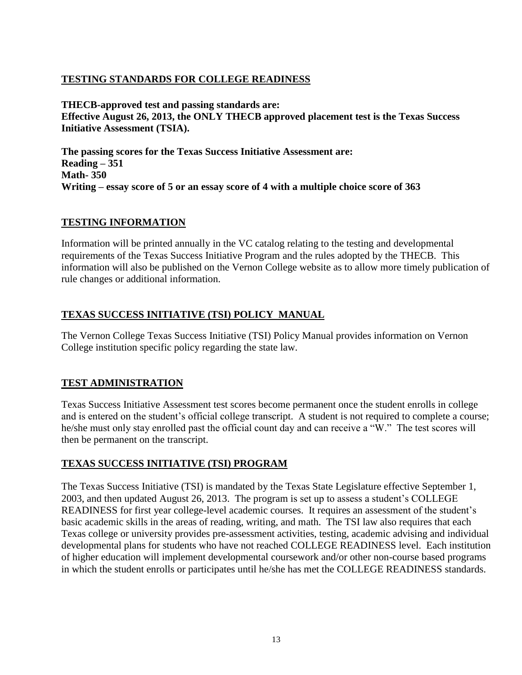### **TESTING STANDARDS FOR COLLEGE READINESS**

**THECB-approved test and passing standards are: Effective August 26, 2013, the ONLY THECB approved placement test is the Texas Success Initiative Assessment (TSIA).**

**The passing scores for the Texas Success Initiative Assessment are: Reading – 351 Math- 350 Writing – essay score of 5 or an essay score of 4 with a multiple choice score of 363**

### **TESTING INFORMATION**

Information will be printed annually in the VC catalog relating to the testing and developmental requirements of the Texas Success Initiative Program and the rules adopted by the THECB. This information will also be published on the Vernon College website as to allow more timely publication of rule changes or additional information.

### **TEXAS SUCCESS INITIATIVE (TSI) POLICY MANUAL**

The Vernon College Texas Success Initiative (TSI) Policy Manual provides information on Vernon College institution specific policy regarding the state law.

# **TEST ADMINISTRATION**

Texas Success Initiative Assessment test scores become permanent once the student enrolls in college and is entered on the student's official college transcript. A student is not required to complete a course; he/she must only stay enrolled past the official count day and can receive a "W." The test scores will then be permanent on the transcript.

### **TEXAS SUCCESS INITIATIVE (TSI) PROGRAM**

The Texas Success Initiative (TSI) is mandated by the Texas State Legislature effective September 1, 2003, and then updated August 26, 2013. The program is set up to assess a student's COLLEGE READINESS for first year college-level academic courses. It requires an assessment of the student's basic academic skills in the areas of reading, writing, and math. The TSI law also requires that each Texas college or university provides pre-assessment activities, testing, academic advising and individual developmental plans for students who have not reached COLLEGE READINESS level. Each institution of higher education will implement developmental coursework and/or other non-course based programs in which the student enrolls or participates until he/she has met the COLLEGE READINESS standards.